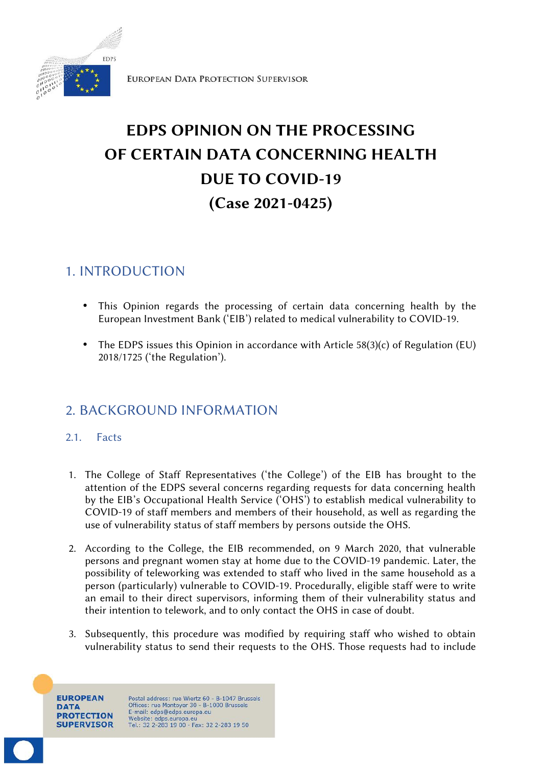

EUROPEAN DATA PROTECTION SUPERVISOR

# **EDPS OPINION ON THE PROCESSING OF CERTAIN DATA CONCERNING HEALTH DUE TO COVID-19 (Case 2021-0425)**

# 1. INTRODUCTION

- This Opinion regards the processing of certain data concerning health by the European Investment Bank ('EIB') related to medical vulnerability to COVID-19.
- The EDPS issues this Opinion in accordance with Article 58(3)(c) of Regulation (EU) 2018/1725 ('the Regulation').

# 2. BACKGROUND INFORMATION

## 2.1. Facts

- 1. The College of Staff Representatives ('the College') of the EIB has brought to the attention of the EDPS several concerns regarding requests for data concerning health by the EIB's Occupational Health Service ('OHS') to establish medical vulnerability to COVID-19 of staff members and members of their household, as well as regarding the use of vulnerability status of staff members by persons outside the OHS.
- 2. According to the College, the EIB recommended, on 9 March 2020, that vulnerable persons and pregnant women stay at home due to the COVID-19 pandemic. Later, the possibility of teleworking was extended to staff who lived in the same household as a person (particularly) vulnerable to COVID-19. Procedurally, eligible staff were to write an email to their direct supervisors, informing them of their vulnerability status and their intention to telework, and to only contact the OHS in case of doubt.
- 3. Subsequently, this procedure was modified by requiring staff who wished to obtain vulnerability status to send their requests to the OHS. Those requests had to include

**EUROPEAN** DATA **PROTECTION SUPERVISOR** 

Postal address: rue Wiertz 60 - B-1047 Brussels Offices: rue Montoyer 30 - B-1000 Brussels<br>E-mail: edps@edps.europa.eu Website: edps.europa.eu<br>Tel.: 32 2-283 19 00 - Fax: 32 2-283 19 50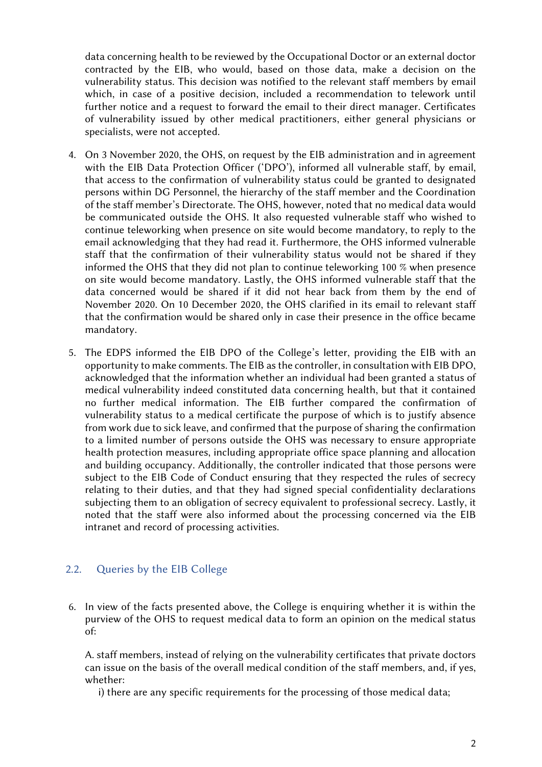data concerning health to be reviewed by the Occupational Doctor or an external doctor contracted by the EIB, who would, based on those data, make a decision on the vulnerability status. This decision was notified to the relevant staff members by email which, in case of a positive decision, included a recommendation to telework until further notice and a request to forward the email to their direct manager. Certificates of vulnerability issued by other medical practitioners, either general physicians or specialists, were not accepted.

- 4. On 3 November 2020, the OHS, on request by the EIB administration and in agreement with the EIB Data Protection Officer ('DPO'), informed all vulnerable staff, by email, that access to the confirmation of vulnerability status could be granted to designated persons within DG Personnel, the hierarchy of the staff member and the Coordination of the staff member's Directorate. The OHS, however, noted that no medical data would be communicated outside the OHS. It also requested vulnerable staff who wished to continue teleworking when presence on site would become mandatory, to reply to the email acknowledging that they had read it. Furthermore, the OHS informed vulnerable staff that the confirmation of their vulnerability status would not be shared if they informed the OHS that they did not plan to continue teleworking 100 % when presence on site would become mandatory. Lastly, the OHS informed vulnerable staff that the data concerned would be shared if it did not hear back from them by the end of November 2020. On 10 December 2020, the OHS clarified in its email to relevant staff that the confirmation would be shared only in case their presence in the office became mandatory.
- 5. The EDPS informed the EIB DPO of the College's letter, providing the EIB with an opportunity to make comments. The EIB as the controller, in consultation with EIB DPO, acknowledged that the information whether an individual had been granted a status of medical vulnerability indeed constituted data concerning health, but that it contained no further medical information. The EIB further compared the confirmation of vulnerability status to a medical certificate the purpose of which is to justify absence from work due to sick leave, and confirmed that the purpose of sharing the confirmation to a limited number of persons outside the OHS was necessary to ensure appropriate health protection measures, including appropriate office space planning and allocation and building occupancy. Additionally, the controller indicated that those persons were subject to the EIB Code of Conduct ensuring that they respected the rules of secrecy relating to their duties, and that they had signed special confidentiality declarations subjecting them to an obligation of secrecy equivalent to professional secrecy. Lastly, it noted that the staff were also informed about the processing concerned via the EIB intranet and record of processing activities.

## 2.2. Queries by the EIB College

6. In view of the facts presented above, the College is enquiring whether it is within the purview of the OHS to request medical data to form an opinion on the medical status of:

A. staff members, instead of relying on the vulnerability certificates that private doctors can issue on the basis of the overall medical condition of the staff members, and, if yes, whether:

i) there are any specific requirements for the processing of those medical data;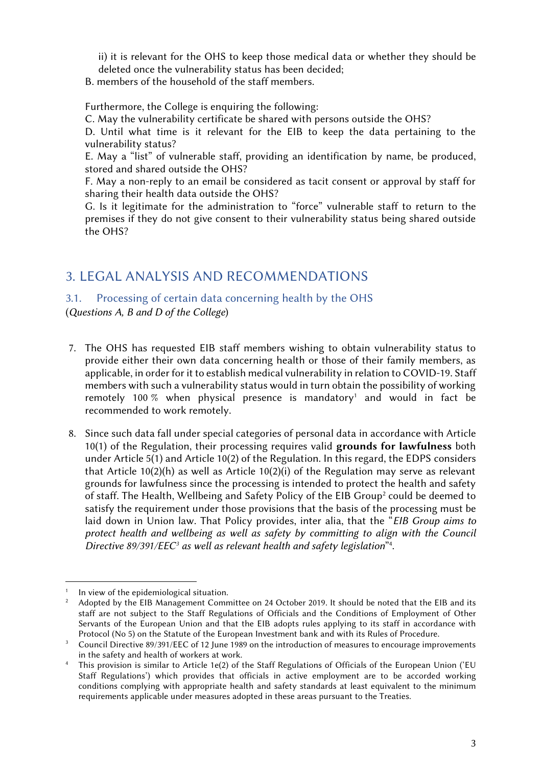ii) it is relevant for the OHS to keep those medical data or whether they should be deleted once the vulnerability status has been decided;

B. members of the household of the staff members.

Furthermore, the College is enquiring the following:

C. May the vulnerability certificate be shared with persons outside the OHS?

D. Until what time is it relevant for the EIB to keep the data pertaining to the vulnerability status?

E. May a "list" of vulnerable staff, providing an identification by name, be produced, stored and shared outside the OHS?

F. May a non-reply to an email be considered as tacit consent or approval by staff for sharing their health data outside the OHS?

G. Is it legitimate for the administration to "force" vulnerable staff to return to the premises if they do not give consent to their vulnerability status being shared outside the OHS?

## 3. LEGAL ANALYSIS AND RECOMMENDATIONS

#### 3.1. Processing of certain data concerning health by the OHS

(*Questions A,B and D of the College*)

- 7. The OHS has requested EIB staff members wishing to obtain vulnerability status to provide either their own data concerning health or those of their family members, as applicable, in order for it to establish medical vulnerability in relation to COVID-19. Staff members with such a vulnerability status would in turn obtain the possibility of working remotely 100 % when physical presence is mandatory<sup>1</sup> and would in fact be recommended to work remotely.
- 8. Since such data fall under special categories of personal data in accordance with Article 10(1) of the Regulation, their processing requires valid **grounds for lawfulness** both under Article 5(1) and Article 10(2) of the Regulation. In this regard, the EDPS considers that Article 10(2)(h) as well as Article 10(2)(i) of the Regulation may serve as relevant grounds for lawfulness since the processing is intended to protect the health and safety of staff. The Health, Wellbeing and Safety Policy of the EIB Group<sup>2</sup> could be deemed to satisfy the requirement under those provisions that the basis of the processing must be laid down in Union law. That Policy provides, inter alia, that the "*EIB Group aims to protect health and wellbeing as well as safety by committing to align with the Council Directive 89/391/EEC<sup>3</sup> as well as relevant health and safety legislation*" 4 .

 $1$  In view of the epidemiological situation.

<sup>&</sup>lt;sup>2</sup> Adopted by the EIB Management Committee on 24 October 2019. It should be noted that the EIB and its staff are not subject to the Staff Regulations of Officials and the Conditions of Employment of Other Servants of the European Union and that the EIB adopts rules applying to its staff in accordance with Protocol (No 5) on the Statute of the European Investment bank and with its Rules of Procedure.

<sup>&</sup>lt;sup>3</sup> Council Directive 89/391/EEC of 12 June 1989 on the introduction of measures to encourage improvements in the safety and health of workers at work.

This provision is similar to Article 1e(2) of the Staff Regulations of Officials of the European Union ('EU Staff Regulations') which provides that officials in active employment are to be accorded working conditions complying with appropriate health and safety standards at least equivalent to the minimum requirements applicable under measures adopted in these areas pursuant to the Treaties.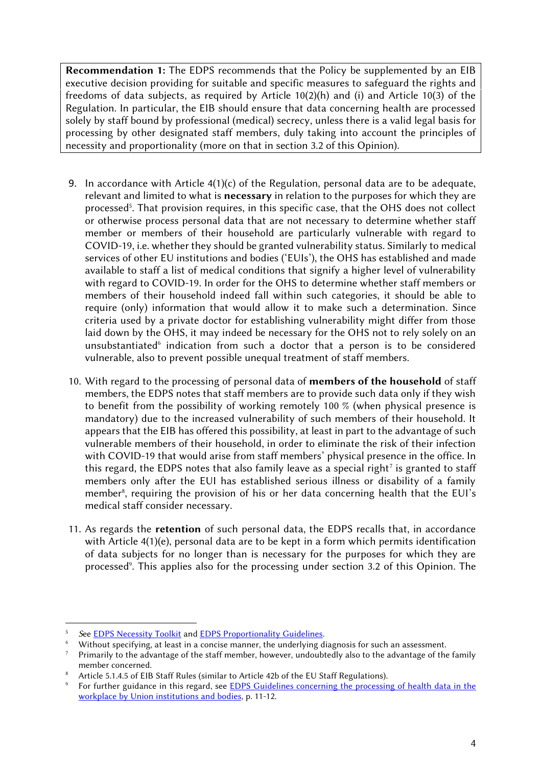**Recommendation 1:** The EDPS recommends that the Policy be supplemented by an EIB executive decision providing for suitable and specific measures to safeguard the rights and freedoms of data subjects, as required by Article 10(2)(h) and (i) and Article 10(3) of the Regulation. In particular, the EIB should ensure that data concerning health are processed solely by staff bound by professional (medical) secrecy, unless there is a valid legal basis for processing by other designated staff members, duly taking into account the principles of necessity and proportionality (more on that in section 3.2 of this Opinion).

- 9. In accordance with Article  $4(1)(c)$  of the Regulation, personal data are to be adequate, relevant and limited to what is **necessary** in relation to the purposes for which they are processed<sup>5</sup>. That provision requires, in this specific case, that the OHS does not collect or otherwise process personal data that are not necessary to determine whether staff member or members of their household are particularly vulnerable with regard to COVID-19, i.e. whether they should be granted vulnerability status. Similarly to medical services of other EU institutions and bodies ('EUIs'), the OHS has established and made available to staff a list of medical conditions that signify a higher level of vulnerability with regard to COVID-19. In order for the OHS to determine whether staff members or members of their household indeed fall within such categories, it should be able to require (only) information that would allow it to make such a determination. Since criteria used by a private doctor for establishing vulnerability might differ from those laid down by the OHS, it may indeed be necessary for the OHS not to rely solely on an unsubstantiated<sup>6</sup> indication from such a doctor that a person is to be considered vulnerable, also to prevent possible unequal treatment of staff members.
- 10. With regard to the processing of personal data of **members of the household** of staff members, the EDPS notes that staff members are to provide such data only if they wish to benefit from the possibility of working remotely 100 % (when physical presence is mandatory) due to the increased vulnerability of such members of their household. It appears that the EIB has offered this possibility, at least in part to the advantage of such vulnerable members of their household, in order to eliminate the risk of their infection with COVID-19 that would arise from staff members' physical presence in the office. In this regard, the EDPS notes that also family leave as a special right<sup>7</sup> is granted to staff members only after the EUI has established serious illness or disability of a family member<sup>8</sup>, requiring the provision of his or her data concerning health that the EUI's medical staff consider necessary.
- 11. As regards the **retention** of such personal data, the EDPS recalls that, in accordance with Article 4(1)(e), personal data are to be kept in a form which permits identification of data subjects for no longer than is necessary for the purposes for which they are processed<sup>9</sup>. This applies also for the processing under section 3.2 of this Opinion. The

<sup>5</sup> *S*ee [EDPS Necessity Toolkit](https://edps.europa.eu/sites/default/files/publication/17-06-01_necessity_toolkit_final_en.pdf) and [EDPS Proportionality Guidelines](https://edps.europa.eu/sites/default/files/publication/19-12-19_edps_proportionality_guidelines2_en.pdf).

Without specifying, at least in a concise manner, the underlying diagnosis for such an assessment.

<sup>&</sup>lt;sup>7</sup> Primarily to the advantage of the staff member, however, undoubtedly also to the advantage of the family member concerned.

Article 5.1.4.5 of EIB Staff Rules (similar to Article 42b of the EU Staff Regulations).

For further guidance in this regard, see [EDPS Guidelines concerning the processing of health data in the](https://edps.europa.eu/sites/default/files/publication/09-09-28_guidelines_healthdata_atwork_en.pdf) [workplace by Union institutions and](https://edps.europa.eu/sites/default/files/publication/09-09-28_guidelines_healthdata_atwork_en.pdf) bodies, p. 11-12.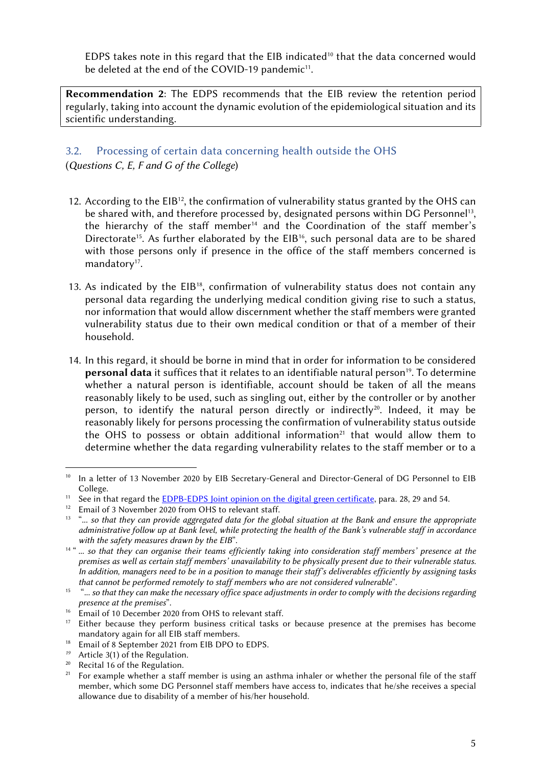EDPS takes note in this regard that the EIB indicated<sup>10</sup> that the data concerned would be deleted at the end of the COVID-19 pandemic<sup>11</sup>.

**Recommendation 2**: The EDPS recommends that the EIB review the retention period regularly, taking into account the dynamic evolution of the epidemiological situation and its scientific understanding.

## 3.2. Processing of certain data concerning health outside the OHS (*Questions C, E, F and G of the College*)

- 12. According to the  $EIB^{12}$ , the confirmation of vulnerability status granted by the OHS can be shared with, and therefore processed by, designated persons within DG Personnel<sup>13</sup>, the hierarchy of the staff member<sup>14</sup> and the Coordination of the staff member's Directorate<sup>15</sup>. As further elaborated by the EIB<sup>16</sup>, such personal data are to be shared with those persons only if presence in the office of the staff members concerned is mandatory<sup>17</sup>.
- 13. As indicated by the  $EIB^{18}$ , confirmation of vulnerability status does not contain any personal data regarding the underlying medical condition giving rise to such a status, nor information that would allow discernment whether the staff members were granted vulnerability status due to their own medical condition or that of a member of their household.
- 14. In this regard, it should be borne in mind that in order for information to be considered **personal data** it suffices that it relates to an identifiable natural person<sup>19</sup>. To determine whether a natural person is identifiable, account should be taken of all the means reasonably likely to be used, such as singling out, either by the controller or by another person, to identify the natural person directly or indirectly<sup>20</sup>. Indeed, it may be reasonably likely for persons processing the confirmation of vulnerability status outside the OHS to possess or obtain additional information<sup>21</sup> that would allow them to determine whether the data regarding vulnerability relates to the staff member or to a

<sup>&</sup>lt;sup>10</sup> In a letter of 13 November 2020 by EIB Secretary-General and Director-General of DG Personnel to EIB College.

<sup>&</sup>lt;sup>11</sup> See in that regard the **EDPB-EDPS** Joint opinion on the digital green certificate, para. 28, 29 and 54.

<sup>&</sup>lt;sup>12</sup> Email of 3 November 2020 from OHS to relevant staff.

<sup>&</sup>lt;sup>13</sup> "... so that they can provide aggregated data for the global situation at the Bank and ensure the appropriate *administrative follow up at Bank level, while protecting the health of the Bank's vulnerable staff in accordance with the safety measures drawn by the EIB*".

<sup>&</sup>lt;sup>14 "</sup> ... *so that they can organise their teams efficiently taking into consideration staff members' presence at the premises as well as certain staff members' unavailability to be physically present due to their vulnerable status. In addition, managers need to be in a position to manage their staff's deliverables efficiently by assigning tasks that cannot be performed remotely to staff members who are not considered vulnerable*".

<sup>&</sup>lt;sup>15</sup> "... so that they can make the necessary office space adjustments in order to comply with the decisions regarding *presence at the premises*".

<sup>&</sup>lt;sup>16</sup> Email of 10 December 2020 from OHS to relevant staff.

<sup>&</sup>lt;sup>17</sup> Either because they perform business critical tasks or because presence at the premises has become mandatory again for all EIB staff members.

<sup>&</sup>lt;sup>18</sup> Email of  $8^{'}$  September 2021 from EIB DPO to EDPS.

*<sup>19</sup>* Article 3(1) of the Regulation.

<sup>&</sup>lt;sup>20</sup> Recital 16 of the Regulation.<br><sup>21</sup> For example whether a staff

<sup>21</sup> For example whether a staff member is using an asthma inhaler or whether the personal file of the staff member, which some DG Personnel staff members have access to, indicates that he/she receives a special allowance due to disability of a member of his/her household.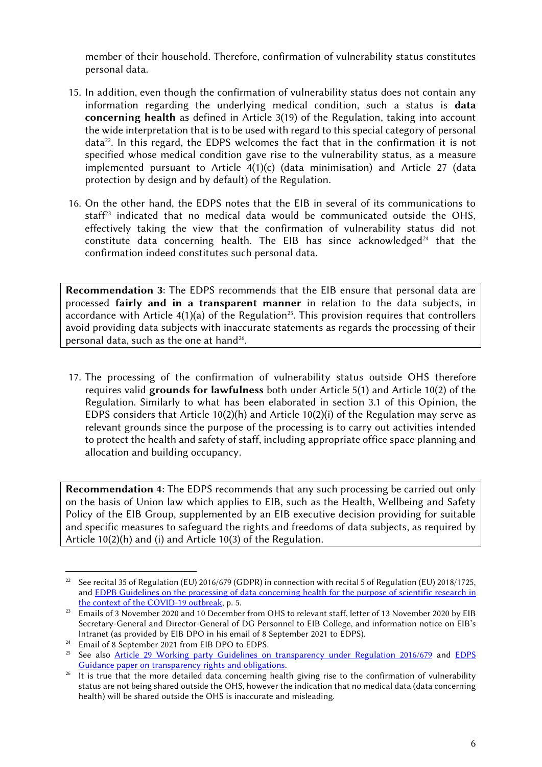member of their household. Therefore, confirmation of vulnerability status constitutes personal data.

- 15. In addition, even though the confirmation of vulnerability status does not contain any information regarding the underlying medical condition, such a status is **data concerning health** as defined in Article 3(19) of the Regulation, taking into account the wide interpretation that is to be used with regard to this special category of personal data<sup>22</sup>. In this regard, the EDPS welcomes the fact that in the confirmation it is not specified whose medical condition gave rise to the vulnerability status, as a measure implemented pursuant to Article  $4(1)(c)$  (data minimisation) and Article 27 (data protection by design and by default) of the Regulation.
- 16. On the other hand, the EDPS notes that the EIB in several of its communications to staff<sup>23</sup> indicated that no medical data would be communicated outside the OHS, effectively taking the view that the confirmation of vulnerability status did not constitute data concerning health. The EIB has since acknowledged<sup>24</sup> that the confirmation indeed constitutes such personal data.

**Recommendation 3**: The EDPS recommends that the EIB ensure that personal data are processed **fairly and in a transparent manner** in relation to the data subjects, in accordance with Article  $4(1)(a)$  of the Regulation<sup>25</sup>. This provision requires that controllers avoid providing data subjects with inaccurate statements as regards the processing of their personal data, such as the one at hand $^{26}$ .

17. The processing of the confirmation of vulnerability status outside OHS therefore requires valid **grounds for lawfulness** both under Article 5(1) and Article 10(2) of the Regulation. Similarly to what has been elaborated in section 3.1 of this Opinion, the EDPS considers that Article 10(2)(h) and Article 10(2)(i) of the Regulation may serve as relevant grounds since the purpose of the processing is to carry out activities intended to protect the health and safety of staff, including appropriate office space planning and allocation and building occupancy.

**Recommendation 4**: The EDPS recommends that any such processing be carried out only on the basis of Union law which applies to EIB, such as the Health, Wellbeing and Safety Policy of the EIB Group, supplemented by an EIB executive decision providing for suitable and specific measures to safeguard the rights and freedoms of data subjects, as required by Article 10(2)(h) and (i) and Article 10(3) of the Regulation.

<sup>&</sup>lt;sup>22</sup> See recital 35 of Regulation (EU) 2016/679 (GDPR) in connection with recital 5 of Regulation (EU) 2018/1725, and [EDPB Guidelines on the processing of data concerning health for the purpose of scientific research in](https://edpb.europa.eu/sites/default/files/files/file1/edpb_guidelines_202003_healthdatascientificresearchcovid19_en.pdf) [the context of the COVID-19 outbreak](https://edpb.europa.eu/sites/default/files/files/file1/edpb_guidelines_202003_healthdatascientificresearchcovid19_en.pdf), p. 5.

<sup>&</sup>lt;sup>23</sup> Emails of 3 November 2020 and 10 December from OHS to relevant staff, letter of 13 November 2020 by EIB Secretary-General and Director-General of DG Personnel to EIB College, and information notice on EIB's Intranet (as provided by EIB DPO in his email of 8 September 2021 to EDPS).

<sup>&</sup>lt;sup>24</sup> Email of  $8$  September 2021 from EIB DPO to EDPS.

<sup>&</sup>lt;sup>25</sup> See also <u>[Article 29 Working party Guidelines on transparency under Regulation 2016/679](https://ec.europa.eu/newsroom/article29/redirection/document/51025)</u> and [EDPS](https://edps.europa.eu/sites/default/files/publication/18-01-15_guidance_paper_arts_en_1.pdf) [Guidance paper on transparency rights and obligations](https://edps.europa.eu/sites/default/files/publication/18-01-15_guidance_paper_arts_en_1.pdf).

<sup>&</sup>lt;sup>26</sup> It is true that the more detailed data concerning health giving rise to the confirmation of vulnerability status are not being shared outside the OHS, however the indication that no medical data (data concerning health) will be shared outside the OHS is inaccurate and misleading.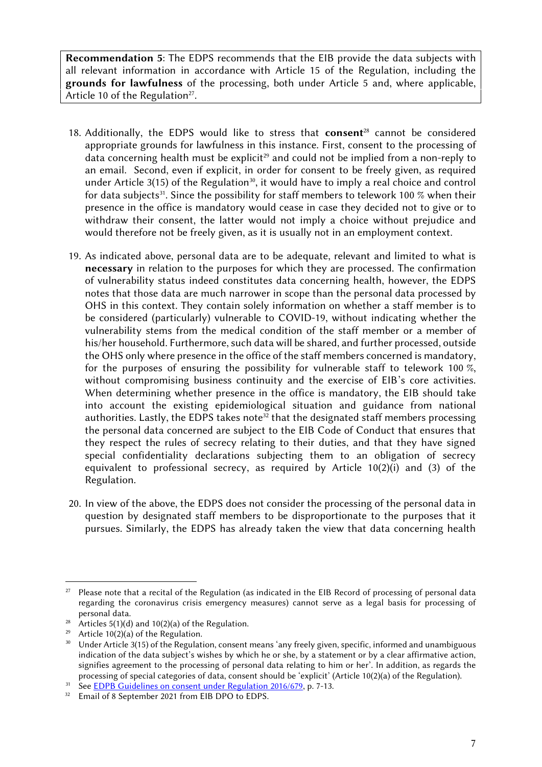**Recommendation 5**: The EDPS recommends that the EIB provide the data subjects with all relevant information in accordance with Article 15 of the Regulation, including the **grounds for lawfulness** of the processing, both under Article 5 and, where applicable, Article 10 of the Regulation<sup>27</sup>.

- 18. Additionally, the EDPS would like to stress that **consent**<sup>28</sup> cannot be considered appropriate grounds for lawfulness in this instance. First, consent to the processing of data concerning health must be explicit<sup>29</sup> and could not be implied from a non-reply to an email. Second, even if explicit, in order for consent to be freely given, as required under Article 3(15) of the Regulation<sup>30</sup>, it would have to imply a real choice and control for data subjects<sup>31</sup>. Since the possibility for staff members to telework 100  $\%$  when their presence in the office is mandatory would cease in case they decided not to give or to withdraw their consent, the latter would not imply a choice without prejudice and would therefore not be freely given, as it is usually not in an employment context.
- 19. As indicated above, personal data are to be adequate, relevant and limited to what is **necessary** in relation to the purposes for which they are processed. The confirmation of vulnerability status indeed constitutes data concerning health, however, the EDPS notes that those data are much narrower in scope than the personal data processed by OHS in this context. They contain solely information on whether a staff member is to be considered (particularly) vulnerable to COVID-19, without indicating whether the vulnerability stems from the medical condition of the staff member or a member of his/her household. Furthermore, such data will be shared, and further processed, outside the OHS only where presence in the office of the staff members concerned is mandatory, for the purposes of ensuring the possibility for vulnerable staff to telework 100 %, without compromising business continuity and the exercise of EIB's core activities. When determining whether presence in the office is mandatory, the EIB should take into account the existing epidemiological situation and guidance from national authorities. Lastly, the EDPS takes note<sup>32</sup> that the designated staff members processing the personal data concerned are subject to the EIB Code of Conduct that ensures that they respect the rules of secrecy relating to their duties, and that they have signed special confidentiality declarations subjecting them to an obligation of secrecy equivalent to professional secrecy, as required by Article 10(2)(i) and (3) of the Regulation.
- 20. In view of the above, the EDPS does not consider the processing of the personal data in question by designated staff members to be disproportionate to the purposes that it pursues. Similarly, the EDPS has already taken the view that data concerning health

Please note that a recital of the Regulation (as indicated in the EIB Record of processing of personal data regarding the coronavirus crisis emergency measures) cannot serve as a legal basis for processing of personal data.

<sup>&</sup>lt;sup>28</sup> Articles 5(1)(d) and 10(2)(a) of the Regulation.

<sup>&</sup>lt;sup>29</sup> Article 10(2)(a) of the Regulation.<br><sup>30</sup> Hador Article 3(15) of the Regulation.

<sup>30</sup> Under Article 3(15) of the Regulation, consent means 'any freely given, specific, informed and unambiguous indication of the data subject's wishes by which he or she, by a statement or by a clear affirmative action, signifies agreement to the processing of personal data relating to him or her'. In addition, as regards the processing of special categories of data, consent should be 'explicit' (Article 10(2)(a) of the Regulation).

<sup>&</sup>lt;sup>31</sup> See **EDPB** Guidelines on consent under Regulation 2016/679, p. 7-13.

<sup>&</sup>lt;sup>32</sup> Email of 8 September 2021 from EIB DPO to EDPS.